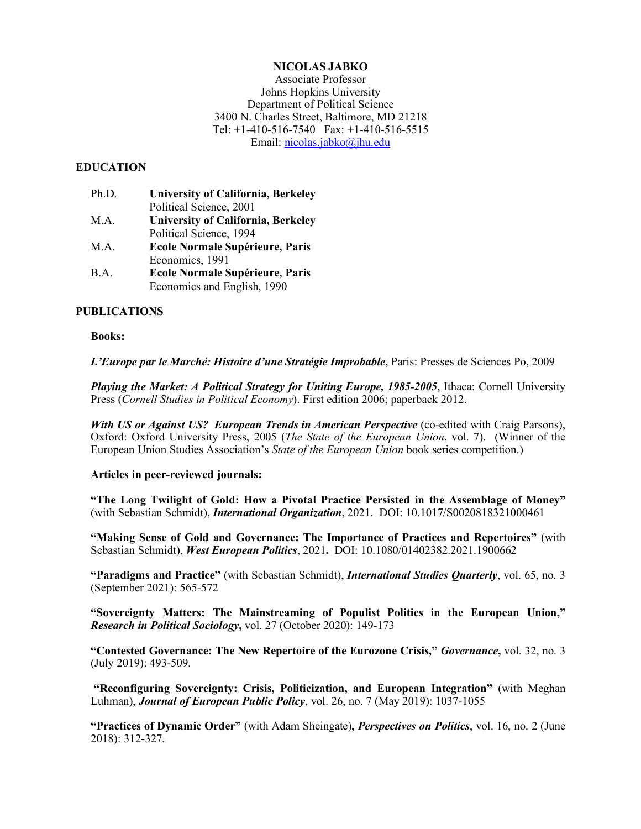# **NICOLAS JABKO**

Associate Professor Johns Hopkins University Department of Political Science 3400 N. Charles Street, Baltimore, MD 21218 Tel: +1-410-516-7540 Fax: +1-410-516-5515 Email: nicolas.jabko@jhu.edu

## **EDUCATION**

| Ph.D. | <b>University of California, Berkeley</b> |
|-------|-------------------------------------------|
|       | Political Science, 2001                   |
| M.A.  | <b>University of California, Berkeley</b> |
|       | Political Science, 1994                   |
| M.A.  | <b>Ecole Normale Supérieure, Paris</b>    |
|       | Economics, 1991                           |
| B.A.  | <b>Ecole Normale Supérieure, Paris</b>    |

Economics and English, 1990

## **PUBLICATIONS**

## **Books:**

*L'Europe par le Marché: Histoire d'une Stratégie Improbable*, Paris: Presses de Sciences Po, 2009

*Playing the Market: A Political Strategy for Uniting Europe, 1985-2005*, Ithaca: Cornell University Press (*Cornell Studies in Political Economy*). First edition 2006; paperback 2012.

*With US or Against US? European Trends in American Perspective* (co-edited with Craig Parsons), Oxford: Oxford University Press, 2005 (*The State of the European Union*, vol. 7). (Winner of the European Union Studies Association's *State of the European Union* book series competition.)

## **Articles in peer-reviewed journals:**

**"The Long Twilight of Gold: How a Pivotal Practice Persisted in the Assemblage of Money"**  (with Sebastian Schmidt), *International Organization*, 2021. DOI: 10.1017/S0020818321000461

**"Making Sense of Gold and Governance: The Importance of Practices and Repertoires"** (with Sebastian Schmidt), *West European Politics*, 2021**.** DOI: 10.1080/01402382.2021.1900662

**"Paradigms and Practice"** (with Sebastian Schmidt), *International Studies Quarterly*, vol. 65, no. 3 (September 2021): 565-572

**"Sovereignty Matters: The Mainstreaming of Populist Politics in the European Union,"**  *Research in Political Sociology***,** vol. 27 (October 2020): 149-173

**"Contested Governance: The New Repertoire of the Eurozone Crisis,"** *Governance***,** vol. 32, no. 3 (July 2019): 493-509.

**"Reconfiguring Sovereignty: Crisis, Politicization, and European Integration"** (with Meghan Luhman), *Journal of European Public Policy*, vol. 26, no. 7 (May 2019): 1037-1055

**"Practices of Dynamic Order"** (with Adam Sheingate)**,** *Perspectives on Politics*, vol. 16, no. 2 (June 2018): 312-327.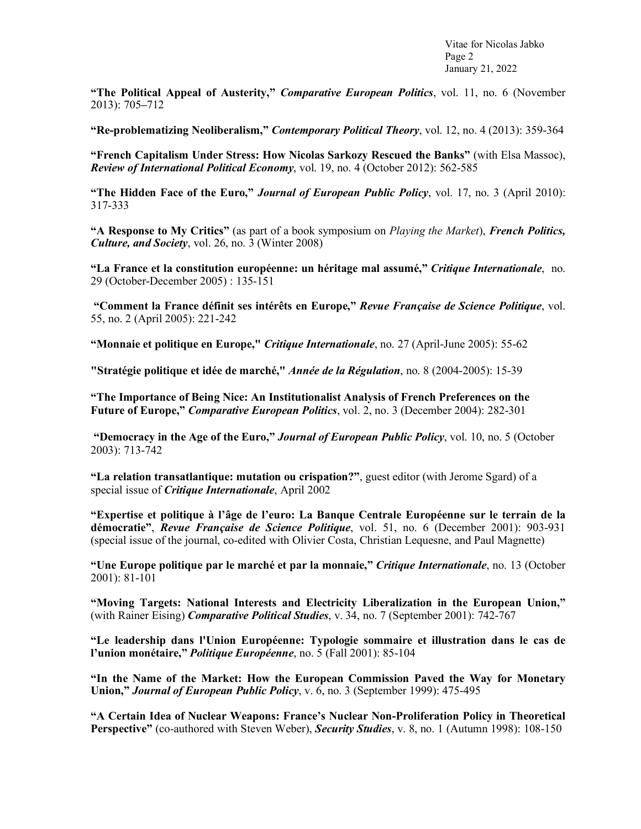Vitae for Nicolas Jabko Page 2 January 21, 2022

**"The Political Appeal of Austerity,"** *Comparative European Politics*, vol. 11, no. 6 (November 2013): 705**–**712

**"Re-problematizing Neoliberalism,"** *Contemporary Political Theory*, vol. 12, no. 4 (2013): 359-364

**"French Capitalism Under Stress: How Nicolas Sarkozy Rescued the Banks"** (with Elsa Massoc), *Review of International Political Economy*, vol. 19, no. 4 (October 2012): 562-585

**"The Hidden Face of the Euro,"** *Journal of European Public Policy*, vol. 17, no. 3 (April 2010): 317-333

**"A Response to My Critics"** (as part of a book symposium on *Playing the Market*), *French Politics, Culture, and Society*, vol. 26, no. 3 (Winter 2008)

**"La France et la constitution européenne: un héritage mal assumé,"** *Critique Internationale*, no. 29 (October-December 2005) : 135-151

**"Comment la France définit ses intérêts en Europe,"** *Revue Française de Science Politique*, vol. 55, no. 2 (April 2005): 221-242

**"Monnaie et politique en Europe,"** *Critique Internationale*, no. 27 (April-June 2005): 55-62

**"Stratégie politique et idée de marché,"** *Année de la Régulation*, no. 8 (2004-2005): 15-39

**"The Importance of Being Nice: An Institutionalist Analysis of French Preferences on the Future of Europe,"** *Comparative European Politics*, vol. 2, no. 3 (December 2004): 282-301

**"Democracy in the Age of the Euro,"** *Journal of European Public Policy*, vol. 10, no. 5 (October 2003): 713-742

**"La relation transatlantique: mutation ou crispation?"**, guest editor (with Jerome Sgard) of a special issue of *Critique Internationale*, April 2002

**"Expertise et politique à l'âge de l'euro: La Banque Centrale Européenne sur le terrain de la démocratie"**, *Revue Française de Science Politique*, vol. 51, no. 6 (December 2001): 903-931 (special issue of the journal, co-edited with Olivier Costa, Christian Lequesne, and Paul Magnette)

**"Une Europe politique par le marché et par la monnaie,"** *Critique Internationale*, no. 13 (October 2001): 81-101

**"Moving Targets: National Interests and Electricity Liberalization in the European Union,"**  (with Rainer Eising) *Comparative Political Studies*, v. 34, no. 7 (September 2001): 742-767

**"Le leadership dans l'Union Européenne: Typologie sommaire et illustration dans le cas de l'union monétaire,"** *Politique Européenne*, no. 5 (Fall 2001): 85-104

**"In the Name of the Market: How the European Commission Paved the Way for Monetary Union,"** *Journal of European Public Policy*, v. 6, no. 3 (September 1999): 475-495

**"A Certain Idea of Nuclear Weapons: France's Nuclear Non-Proliferation Policy in Theoretical Perspective"** (co-authored with Steven Weber), *Security Studies*, v. 8, no. 1 (Autumn 1998): 108-150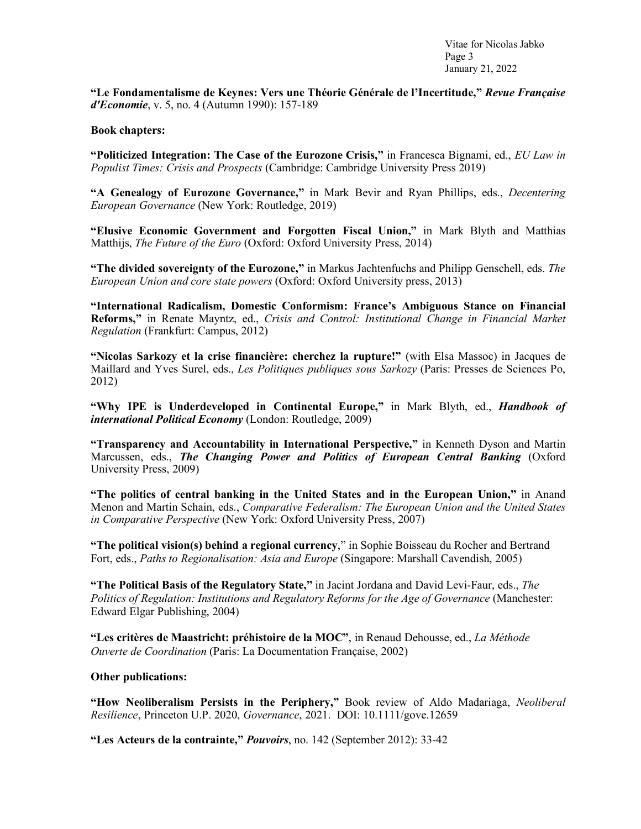Vitae for Nicolas Jabko Page 3 January 21, 2022

**"Le Fondamentalisme de Keynes: Vers une Théorie Générale de l'Incertitude,"** *Revue Française d'Economie*, v. 5, no. 4 (Autumn 1990): 157-189

#### **Book chapters:**

**"Politicized Integration: The Case of the Eurozone Crisis,"** in Francesca Bignami, ed., *EU Law in Populist Times: Crisis and Prospects* (Cambridge: Cambridge University Press 2019)

**"A Genealogy of Eurozone Governance,"** in Mark Bevir and Ryan Phillips, eds., *Decentering European Governance* (New York: Routledge, 2019)

**"Elusive Economic Government and Forgotten Fiscal Union,"** in Mark Blyth and Matthias Matthijs, *The Future of the Euro* (Oxford: Oxford University Press, 2014)

**"The divided sovereignty of the Eurozone,"** in Markus Jachtenfuchs and Philipp Genschell, eds. *The European Union and core state powers* (Oxford: Oxford University press, 2013)

**"International Radicalism, Domestic Conformism: France's Ambiguous Stance on Financial Reforms,"** in Renate Mayntz, ed., *Crisis and Control: Institutional Change in Financial Market Regulation* (Frankfurt: Campus, 2012)

**"Nicolas Sarkozy et la crise financière: cherchez la rupture!"** (with Elsa Massoc) in Jacques de Maillard and Yves Surel, eds., *Les Politiques publiques sous Sarkozy* (Paris: Presses de Sciences Po, 2012)

**"Why IPE is Underdeveloped in Continental Europe,"** in Mark Blyth, ed., *Handbook of international Political Economy* (London: Routledge, 2009)

**"Transparency and Accountability in International Perspective,"** in Kenneth Dyson and Martin Marcussen, eds., *The Changing Power and Politics of European Central Banking* (Oxford University Press, 2009)

**"The politics of central banking in the United States and in the European Union,"** in Anand Menon and Martin Schain, eds., *Comparative Federalism: The European Union and the United States in Comparative Perspective* (New York: Oxford University Press, 2007)

**"The political vision(s) behind a regional currency**," in Sophie Boisseau du Rocher and Bertrand Fort, eds., *Paths to Regionalisation: Asia and Europe* (Singapore: Marshall Cavendish, 2005)

**"The Political Basis of the Regulatory State,"** in Jacint Jordana and David Levi-Faur, eds., *The Politics of Regulation: Institutions and Regulatory Reforms for the Age of Governance* (Manchester: Edward Elgar Publishing, 2004)

**"Les critères de Maastricht: préhistoire de la MOC"**, in Renaud Dehousse, ed., *La Méthode Ouverte de Coordination* (Paris: La Documentation Française, 2002)

## **Other publications:**

**"How Neoliberalism Persists in the Periphery,"** Book review of Aldo Madariaga, *Neoliberal Resilience*, Princeton U.P. 2020, *Governance*, 2021. DOI: 10.1111/gove.12659

**"Les Acteurs de la contrainte,"** *Pouvoirs*, no. 142 (September 2012): 33-42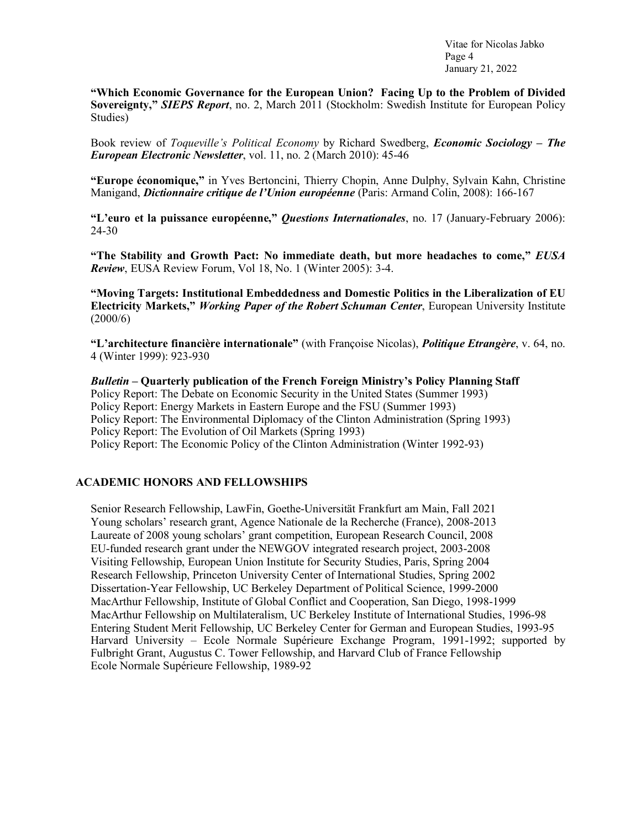Vitae for Nicolas Jabko Page 4 January 21, 2022

**"Which Economic Governance for the European Union? Facing Up to the Problem of Divided Sovereignty,"** *SIEPS Report*, no. 2, March 2011 (Stockholm: Swedish Institute for European Policy Studies)

Book review of *Toqueville's Political Economy* by Richard Swedberg, *Economic Sociology – The European Electronic Newsletter*, vol. 11, no. 2 (March 2010): 45-46

**"Europe économique,"** in Yves Bertoncini, Thierry Chopin, Anne Dulphy, Sylvain Kahn, Christine Manigand, *Dictionnaire critique de l'Union européenne* (Paris: Armand Colin, 2008): 166-167

**"L'euro et la puissance européenne,"** *Questions Internationales*, no. 17 (January-February 2006): 24-30

**"The Stability and Growth Pact: No immediate death, but more headaches to come,"** *EUSA Review*, EUSA Review Forum, Vol 18, No. 1 (Winter 2005): 3-4.

**"Moving Targets: Institutional Embeddedness and Domestic Politics in the Liberalization of EU Electricity Markets,"** *Working Paper of the Robert Schuman Center*, European University Institute  $(2000/6)$ 

**"L'architecture financière internationale"** (with Françoise Nicolas), *Politique Etrangère*, v. 64, no. 4 (Winter 1999): 923-930

*Bulletin* **– Quarterly publication of the French Foreign Ministry's Policy Planning Staff**  Policy Report: The Debate on Economic Security in the United States (Summer 1993) Policy Report: Energy Markets in Eastern Europe and the FSU (Summer 1993) Policy Report: The Environmental Diplomacy of the Clinton Administration (Spring 1993) Policy Report: The Evolution of Oil Markets (Spring 1993) Policy Report: The Economic Policy of the Clinton Administration (Winter 1992-93)

# **ACADEMIC HONORS AND FELLOWSHIPS**

Senior Research Fellowship, LawFin, Goethe-Universität Frankfurt am Main, Fall 2021 Young scholars' research grant, Agence Nationale de la Recherche (France), 2008-2013 Laureate of 2008 young scholars' grant competition, European Research Council, 2008 EU-funded research grant under the NEWGOV integrated research project, 2003-2008 Visiting Fellowship, European Union Institute for Security Studies, Paris, Spring 2004 Research Fellowship, Princeton University Center of International Studies, Spring 2002 Dissertation-Year Fellowship, UC Berkeley Department of Political Science, 1999-2000 MacArthur Fellowship, Institute of Global Conflict and Cooperation, San Diego, 1998-1999 MacArthur Fellowship on Multilateralism, UC Berkeley Institute of International Studies, 1996-98 Entering Student Merit Fellowship, UC Berkeley Center for German and European Studies, 1993-95 Harvard University – Ecole Normale Supérieure Exchange Program, 1991-1992; supported by Fulbright Grant, Augustus C. Tower Fellowship, and Harvard Club of France Fellowship Ecole Normale Supérieure Fellowship, 1989-92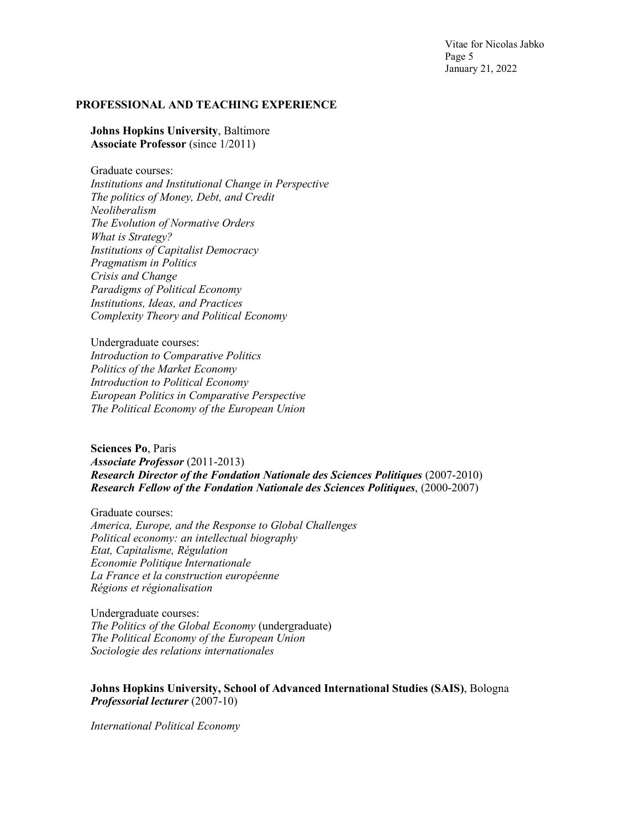Vitae for Nicolas Jabko Page 5 January 21, 2022

#### **PROFESSIONAL AND TEACHING EXPERIENCE**

**Johns Hopkins University**, Baltimore **Associate Professor** (since 1/2011)

Graduate courses: *Institutions and Institutional Change in Perspective The politics of Money, Debt, and Credit Neoliberalism The Evolution of Normative Orders What is Strategy? Institutions of Capitalist Democracy Pragmatism in Politics Crisis and Change Paradigms of Political Economy Institutions, Ideas, and Practices Complexity Theory and Political Economy*

Undergraduate courses: *Introduction to Comparative Politics Politics of the Market Economy Introduction to Political Economy European Politics in Comparative Perspective The Political Economy of the European Union*

**Sciences Po**, Paris *Associate Professor* (2011-2013) *Research Director of the Fondation Nationale des Sciences Politiques* (2007-2010) *Research Fellow of the Fondation Nationale des Sciences Politiques*, (2000-2007)

Graduate courses: *America, Europe, and the Response to Global Challenges Political economy: an intellectual biography Etat, Capitalisme, Régulation Economie Politique Internationale La France et la construction européenne Régions et régionalisation*

Undergraduate courses: *The Politics of the Global Economy* (undergraduate) *The Political Economy of the European Union Sociologie des relations internationales*

**Johns Hopkins University, School of Advanced International Studies (SAIS)**, Bologna *Professorial lecturer* (2007-10)

*International Political Economy*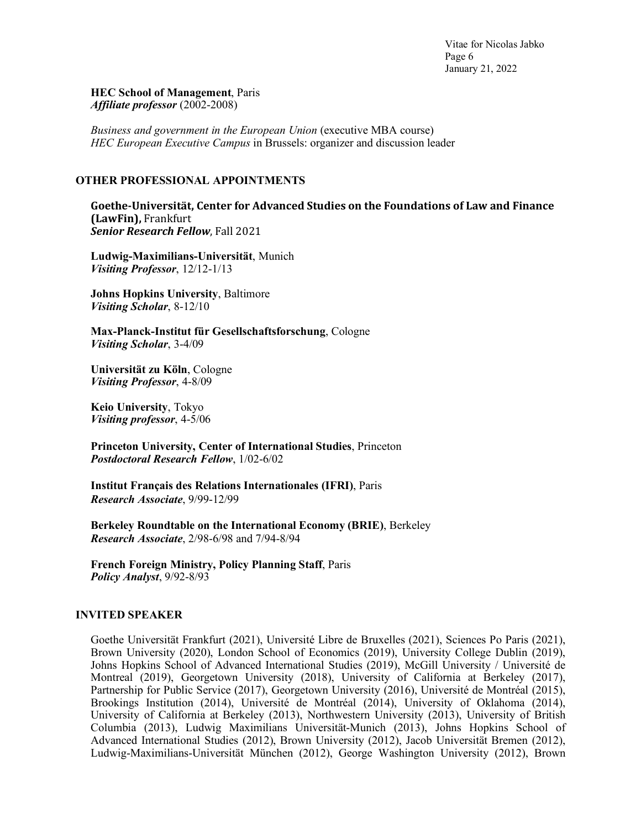Vitae for Nicolas Jabko Page 6 January 21, 2022

#### **HEC School of Management**, Paris *Affiliate professor* (2002-2008)

*Business and government in the European Union* (executive MBA course) *HEC European Executive Campus* in Brussels: organizer and discussion leader

## **OTHER PROFESSIONAL APPOINTMENTS**

**Goethe-Universität, Center for Advanced Studies on the Foundations of Law and Finance (LawFin),** Frankfurt **Senior Research Fellow**, Fall 2021

**Ludwig-Maximilians-Universität**, Munich *Visiting Professor*, 12/12-1/13

**Johns Hopkins University**, Baltimore *Visiting Scholar*, 8-12/10

**Max-Planck-Institut für Gesellschaftsforschung**, Cologne *Visiting Scholar*, 3-4/09

**Universität zu Köln**, Cologne *Visiting Professor*, 4-8/09

**Keio University**, Tokyo *Visiting professor*, 4-5/06

**Princeton University, Center of International Studies**, Princeton *Postdoctoral Research Fellow*, 1/02-6/02

**Institut Français des Relations Internationales (IFRI)**, Paris *Research Associate*, 9/99-12/99

**Berkeley Roundtable on the International Economy (BRIE)**, Berkeley *Research Associate*, 2/98-6/98 and 7/94-8/94

**French Foreign Ministry, Policy Planning Staff**, Paris *Policy Analyst*, 9/92-8/93

## **INVITED SPEAKER**

Goethe Universität Frankfurt (2021), Université Libre de Bruxelles (2021), Sciences Po Paris (2021), Brown University (2020), London School of Economics (2019), University College Dublin (2019), Johns Hopkins School of Advanced International Studies (2019), McGill University / Université de Montreal (2019), Georgetown University (2018), University of California at Berkeley (2017), Partnership for Public Service (2017), Georgetown University (2016), Université de Montréal (2015), Brookings Institution (2014), Université de Montréal (2014), University of Oklahoma (2014), University of California at Berkeley (2013), Northwestern University (2013), University of British Columbia (2013), Ludwig Maximilians Universität-Munich (2013), Johns Hopkins School of Advanced International Studies (2012), Brown University (2012), Jacob Universität Bremen (2012), Ludwig-Maximilians-Universität München (2012), George Washington University (2012), Brown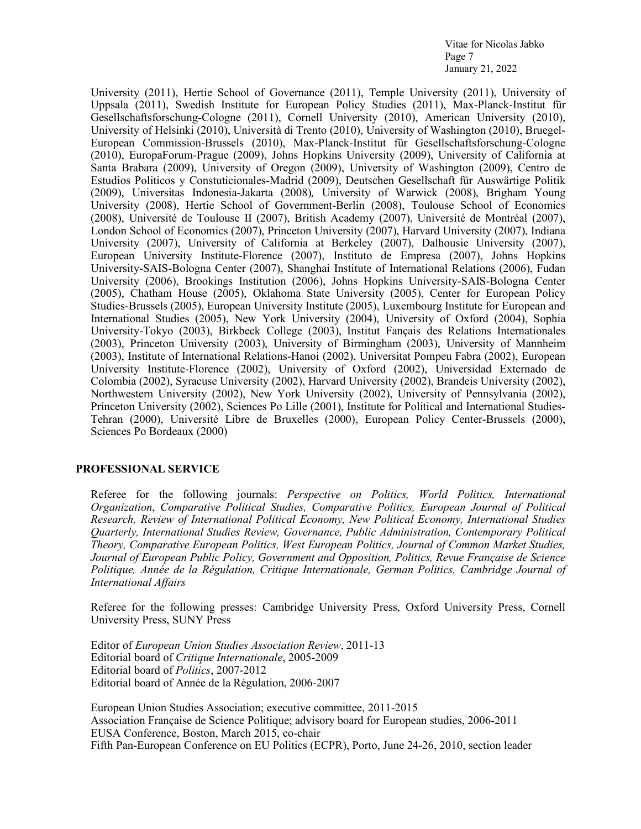Vitae for Nicolas Jabko Page 7 January 21, 2022

University (2011), Hertie School of Governance (2011), Temple University (2011), University of Uppsala (2011), Swedish Institute for European Policy Studies (2011), Max-Planck-Institut für Gesellschaftsforschung-Cologne (2011), Cornell University (2010), American University (2010), University of Helsinki (2010), Università di Trento (2010), University of Washington (2010), Bruegel-European Commission-Brussels (2010), Max-Planck-Institut für Gesellschaftsforschung-Cologne (2010), EuropaForum-Prague (2009), Johns Hopkins University (2009), University of California at Santa Brabara (2009), University of Oregon (2009), University of Washington (2009), Centro de Estudios Politicos y Constuticionales-Madrid (2009), Deutschen Gesellschaft für Auswärtige Politik (2009), Universitas Indonesia-Jakarta (2008)*,* University of Warwick (2008), Brigham Young University (2008), Hertie School of Government-Berlin (2008), Toulouse School of Economics (2008), Université de Toulouse II (2007), British Academy (2007), Université de Montréal (2007), London School of Economics (2007), Princeton University (2007), Harvard University (2007), Indiana University (2007), University of California at Berkeley (2007), Dalhousie University (2007), European University Institute-Florence (2007), Instituto de Empresa (2007), Johns Hopkins University-SAIS-Bologna Center (2007), Shanghai Institute of International Relations (2006), Fudan University (2006), Brookings Institution (2006), Johns Hopkins University-SAIS-Bologna Center (2005), Chatham House (2005), Oklahoma State University (2005), Center for European Policy Studies-Brussels (2005), European University Institute (2005), Luxembourg Institute for European and International Studies (2005), New York University (2004), University of Oxford (2004), Sophia University-Tokyo (2003), Birkbeck College (2003), Institut Fançais des Relations Internationales (2003), Princeton University (2003), University of Birmingham (2003), University of Mannheim (2003), Institute of International Relations-Hanoi (2002), Universitat Pompeu Fabra (2002), European University Institute-Florence (2002), University of Oxford (2002), Universidad Externado de Colombia (2002), Syracuse University (2002), Harvard University (2002), Brandeis University (2002), Northwestern University (2002), New York University (2002), University of Pennsylvania (2002), Princeton University (2002), Sciences Po Lille (2001), Institute for Political and International Studies-Tehran (2000), Université Libre de Bruxelles (2000), European Policy Center-Brussels (2000), Sciences Po Bordeaux (2000)

## **PROFESSIONAL SERVICE**

Referee for the following journals: *Perspective on Politics, World Politics, International Organization*, *Comparative Political Studies, Comparative Politics, European Journal of Political Research, Review of International Political Economy, New Political Economy, International Studies Quarterly, International Studies Review, Governance, Public Administration, Contemporary Political Theory, Comparative European Politics, West European Politics, Journal of Common Market Studies, Journal of European Public Policy, Government and Opposition, Politics, Revue Française de Science Politique, Année de la Régulation, Critique Internationale, German Politics, Cambridge Journal of International Affairs*

Referee for the following presses: Cambridge University Press, Oxford University Press, Cornell University Press, SUNY Press

Editor of *European Union Studies Association Review*, 2011-13 Editorial board of *Critique Internationale*, 2005-2009 Editorial board of *Politics*, 2007-2012 Editorial board of Année de la Régulation, 2006-2007

European Union Studies Association; executive committee, 2011-2015 Association Française de Science Politique; advisory board for European studies, 2006-2011 EUSA Conference, Boston, March 2015, co-chair Fifth Pan-European Conference on EU Politics (ECPR), Porto, June 24-26, 2010, section leader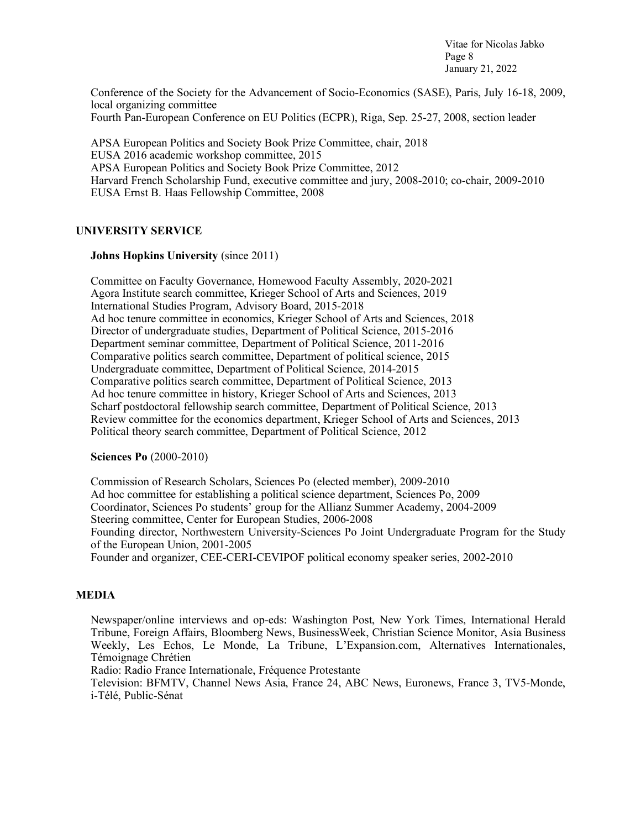Vitae for Nicolas Jabko Page 8 January 21, 2022

Conference of the Society for the Advancement of Socio-Economics (SASE), Paris, July 16-18, 2009, local organizing committee Fourth Pan-European Conference on EU Politics (ECPR), Riga, Sep. 25-27, 2008, section leader

APSA European Politics and Society Book Prize Committee, chair, 2018 EUSA 2016 academic workshop committee, 2015 APSA European Politics and Society Book Prize Committee, 2012 Harvard French Scholarship Fund, executive committee and jury, 2008-2010; co-chair, 2009-2010 EUSA Ernst B. Haas Fellowship Committee, 2008

## **UNIVERSITY SERVICE**

## **Johns Hopkins University** (since 2011)

Committee on Faculty Governance, Homewood Faculty Assembly, 2020-2021 Agora Institute search committee, Krieger School of Arts and Sciences, 2019 International Studies Program, Advisory Board, 2015-2018 Ad hoc tenure committee in economics, Krieger School of Arts and Sciences, 2018 Director of undergraduate studies, Department of Political Science, 2015-2016 Department seminar committee, Department of Political Science, 2011-2016 Comparative politics search committee, Department of political science, 2015 Undergraduate committee, Department of Political Science, 2014-2015 Comparative politics search committee, Department of Political Science, 2013 Ad hoc tenure committee in history, Krieger School of Arts and Sciences, 2013 Scharf postdoctoral fellowship search committee, Department of Political Science, 2013 Review committee for the economics department, Krieger School of Arts and Sciences, 2013 Political theory search committee, Department of Political Science, 2012

## **Sciences Po** (2000-2010)

Commission of Research Scholars, Sciences Po (elected member), 2009-2010 Ad hoc committee for establishing a political science department, Sciences Po, 2009 Coordinator, Sciences Po students' group for the Allianz Summer Academy, 2004-2009 Steering committee, Center for European Studies, 2006-2008 Founding director, Northwestern University-Sciences Po Joint Undergraduate Program for the Study of the European Union, 2001-2005 Founder and organizer, CEE-CERI-CEVIPOF political economy speaker series, 2002-2010

## **MEDIA**

Newspaper/online interviews and op-eds: Washington Post, New York Times, International Herald Tribune, Foreign Affairs, Bloomberg News, BusinessWeek, Christian Science Monitor, Asia Business Weekly, Les Echos, Le Monde, La Tribune, L'Expansion.com, Alternatives Internationales, Témoignage Chrétien

Radio: Radio France Internationale, Fréquence Protestante

Television: BFMTV, Channel News Asia, France 24, ABC News, Euronews, France 3, TV5-Monde, i-Télé, Public-Sénat